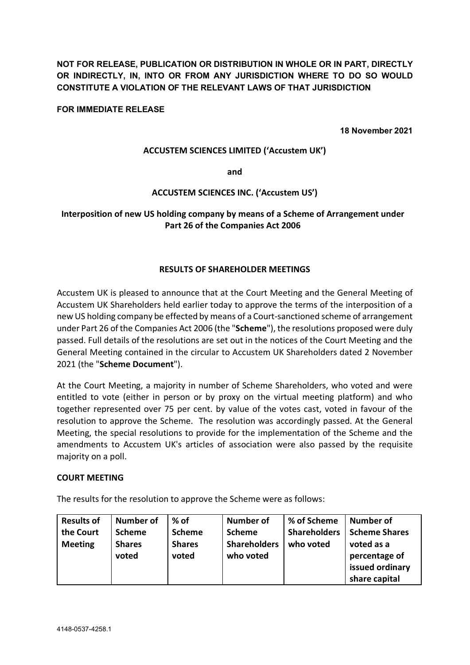**NOT FOR RELEASE, PUBLICATION OR DISTRIBUTION IN WHOLE OR IN PART, DIRECTLY OR INDIRECTLY, IN, INTO OR FROM ANY JURISDICTION WHERE TO DO SO WOULD CONSTITUTE A VIOLATION OF THE RELEVANT LAWS OF THAT JURISDICTION**

### **FOR IMMEDIATE RELEASE**

**18 November 2021**

### **ACCUSTEM SCIENCES LIMITED ('Accustem UK')**

**and** 

## **ACCUSTEM SCIENCES INC. ('Accustem US')**

# **Interposition of new US holding company by means of a Scheme of Arrangement under Part 26 of the Companies Act 2006**

### **RESULTS OF SHAREHOLDER MEETINGS**

Accustem UK is pleased to announce that at the Court Meeting and the General Meeting of Accustem UK Shareholders held earlier today to approve the terms of the interposition of a new US holding company be effected by means of a Court-sanctioned scheme of arrangement under Part 26 of the Companies Act 2006 (the "**Scheme**"), the resolutions proposed were duly passed. Full details of the resolutions are set out in the notices of the Court Meeting and the General Meeting contained in the circular to Accustem UK Shareholders dated 2 November 2021 (the "**Scheme Document**").

At the Court Meeting, a majority in number of Scheme Shareholders, who voted and were entitled to vote (either in person or by proxy on the virtual meeting platform) and who together represented over 75 per cent. by value of the votes cast, voted in favour of the resolution to approve the Scheme. The resolution was accordingly passed. At the General Meeting, the special resolutions to provide for the implementation of the Scheme and the amendments to Accustem UK's articles of association were also passed by the requisite majority on a poll.

### **COURT MEETING**

The results for the resolution to approve the Scheme were as follows:

| <b>Results of</b> | <b>Number of</b> | $%$ of        | <b>Number of</b>    | % of Scheme         | <b>Number of</b>     |
|-------------------|------------------|---------------|---------------------|---------------------|----------------------|
| the Court         | <b>Scheme</b>    | <b>Scheme</b> | <b>Scheme</b>       | <b>Shareholders</b> | <b>Scheme Shares</b> |
| <b>Meeting</b>    | <b>Shares</b>    | <b>Shares</b> | <b>Shareholders</b> | who voted           | voted as a           |
|                   | voted            | voted         | who voted           |                     | percentage of        |
|                   |                  |               |                     |                     | issued ordinary      |
|                   |                  |               |                     |                     | share capital        |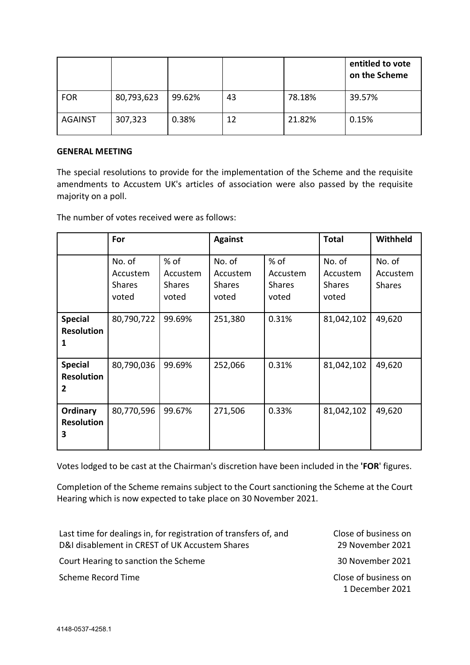|                |            |        |    |        | entitled to vote<br>on the Scheme |
|----------------|------------|--------|----|--------|-----------------------------------|
| <b>FOR</b>     | 80,793,623 | 99.62% | 43 | 78.18% | 39.57%                            |
| <b>AGAINST</b> | 307,323    | 0.38%  | 12 | 21.82% | 0.15%                             |

## **GENERAL MEETING**

The special resolutions to provide for the implementation of the Scheme and the requisite amendments to Accustem UK's articles of association were also passed by the requisite majority on a poll.

The number of votes received were as follows:

|                                          | For                                          |                                              | <b>Against</b>                               |                                              | <b>Total</b>                                 | Withheld                            |
|------------------------------------------|----------------------------------------------|----------------------------------------------|----------------------------------------------|----------------------------------------------|----------------------------------------------|-------------------------------------|
|                                          | No. of<br>Accustem<br><b>Shares</b><br>voted | $%$ of<br>Accustem<br><b>Shares</b><br>voted | No. of<br>Accustem<br><b>Shares</b><br>voted | $%$ of<br>Accustem<br><b>Shares</b><br>voted | No. of<br>Accustem<br><b>Shares</b><br>voted | No. of<br>Accustem<br><b>Shares</b> |
| <b>Special</b><br><b>Resolution</b><br>1 | 80,790,722                                   | 99.69%                                       | 251,380                                      | 0.31%                                        | 81,042,102                                   | 49,620                              |
| <b>Special</b><br><b>Resolution</b><br>2 | 80,790,036                                   | 99.69%                                       | 252,066                                      | 0.31%                                        | 81,042,102                                   | 49,620                              |
| Ordinary<br><b>Resolution</b><br>3       | 80,770,596                                   | 99.67%                                       | 271,506                                      | 0.33%                                        | 81,042,102                                   | 49,620                              |

Votes lodged to be cast at the Chairman's discretion have been included in the **'FOR**' figures.

Completion of the Scheme remains subject to the Court sanctioning the Scheme at the Court Hearing which is now expected to take place on 30 November 2021.

| Last time for dealings in, for registration of transfers of, and<br>D&I disablement in CREST of UK Accustem Shares | Close of business on<br>29 November 2021 |
|--------------------------------------------------------------------------------------------------------------------|------------------------------------------|
| Court Hearing to sanction the Scheme                                                                               | 30 November 2021                         |
| Scheme Record Time                                                                                                 | Close of business on<br>1 December 2021  |